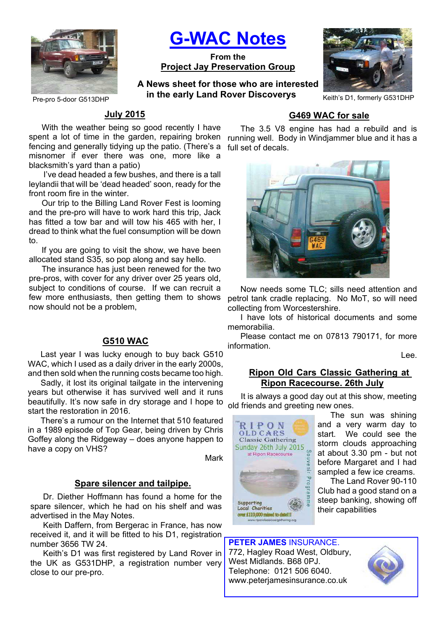

**G-WAC Notes**

**From the Project Jay Preservation Group**

Pre-pro 5-door G513DHP **Keith's D1, formerly G531DHP** Realth's D1, formerly G531DHP **A News sheet for those who are interested in the early Land Rover Discoverys**



## **July 2015**

With the weather being so good recently I have spent a lot of time in the garden, repairing broken running well. Body in Windjammer blue and it has a fencing and generally tidying up the patio. (There's a misnomer if ever there was one, more like a blacksmith's yard than a patio)

 I've dead headed a few bushes, and there is a tall leylandii that will be 'dead headed' soon, ready for the front room fire in the winter.

Our trip to the Billing Land Rover Fest is looming and the pre-pro will have to work hard this trip, Jack has fitted a tow bar and will tow his 465 with her, I dread to think what the fuel consumption will be down to.

If you are going to visit the show, we have been allocated stand S35, so pop along and say hello.

The insurance has just been renewed for the two pre-pros, with cover for any driver over 25 years old, subject to conditions of course. If we can recruit a few more enthusiasts, then getting them to shows now should not be a problem,

# **G510 WAC**

Last year I was lucky enough to buy back G510 WAC, which I used as a daily driver in the early 2000s, and then sold when the running costs became too high.

Sadly, it lost its original tailgate in the intervening years but otherwise it has survived well and it runs beautifully. It's now safe in dry storage and I hope to start the restoration in 2016.

There's a rumour on the Internet that 510 featured in a 1989 episode of Top Gear, being driven by Chris Goffey along the Ridgeway – does anyone happen to have a copy on VHS?

Mark

#### **Spare silencer and tailpipe.**

Dr. Diether Hoffmann has found a home for the spare silencer, which he had on his shelf and was advertised in the May Notes.

Keith Daffern, from Bergerac in France, has now received it, and it will be fitted to his D1, registration number 3656 TW 24.

Keith's D1 was first registered by Land Rover in the UK as G531DHP, a registration number very close to our pre-pro.

# **G469 WAC for sale**

The 3.5 V8 engine has had a rebuild and is full set of decals.



Now needs some TLC; sills need attention and petrol tank cradle replacing. No MoT, so will need collecting from Worcestershire.

I have lots of historical documents and some memorabilia.

Please contact me on 07813 790171, for more information.

Lee.

## **Ripon Old Cars Classic Gathering at Ripon Racecourse. 26th July**

It is always a good day out at this show, meeting old friends and greeting new ones.



The sun was shining and a very warm day to start. We could see the storm clouds approaching at about 3.30 pm - but not before Margaret and I had sampled a few ice creams.

The Land Rover 90-110 Club had a good stand on a steep banking, showing off their capabilities

# **PETER JAMES** INSURANCE.

772, Hagley Road West, Oldbury, West Midlands. B68 0PJ. Telephone: 0121 506 6040. www.peterjamesinsurance.co.uk

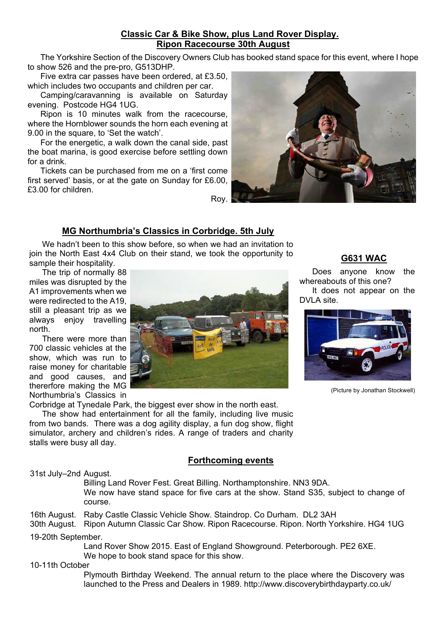# **Classic Car & Bike Show, plus Land Rover Display. Ripon Racecourse 30th August**

The Yorkshire Section of the Discovery Owners Club has booked stand space for this event, where I hope to show 526 and the pre-pro, G513DHP.

Five extra car passes have been ordered, at £3.50, which includes two occupants and children per car.

Camping/caravanning is available on Saturday evening. Postcode HG4 1UG.

Ripon is 10 minutes walk from the racecourse, where the Hornblower sounds the horn each evening at 9.00 in the square, to 'Set the watch'.

For the energetic, a walk down the canal side, past the boat marina, is good exercise before settling down for a drink.

Tickets can be purchased from me on a 'first come first served' basis, or at the gate on Sunday for £6.00, £3.00 for children.



## **MG Northumbria's Classics in Corbridge. 5th July**

We hadn't been to this show before, so when we had an invitation to join the North East 4x4 Club on their stand, we took the opportunity to sample their hospitality.

The trip of normally 88 miles was disrupted by the A1 improvements when we were redirected to the A19, still a pleasant trip as we always enjoy travelling north.

There were more than 700 classic vehicles at the show, which was run to raise money for charitable and good causes, and thererfore making the MG Northumbria's Classics in

Corbridge at Tynedale Park, the biggest ever show in the north east. The show had entertainment for all the family, including live music from two bands. There was a dog agility display, a fun dog show, flight simulator, archery and children's rides. A range of traders and charity

## **Forthcoming events**

31st July–2nd August.

stalls were busy all day.

 Billing Land Rover Fest. Great Billing. Northamptonshire. NN3 9DA. We now have stand space for five cars at the show. Stand S35, subject to change of course.

16th August. Raby Castle Classic Vehicle Show. Staindrop. Co Durham. DL2 3AH

30th August. Ripon Autumn Classic Car Show. Ripon Racecourse. Ripon. North Yorkshire. HG4 1UG

19-20th September.

 Land Rover Show 2015. East of England Showground. Peterborough. PE2 6XE. We hope to book stand space for this show.

10-11th October

 Plymouth Birthday Weekend. The annual return to the place where the Discovery was launched to the Press and Dealers in 1989. http://www.discoverybirthdayparty.co.uk/



Does anyone know the whereabouts of this one? It does not appear on the DVI A site.



(Picture by Jonathan Stockwell)